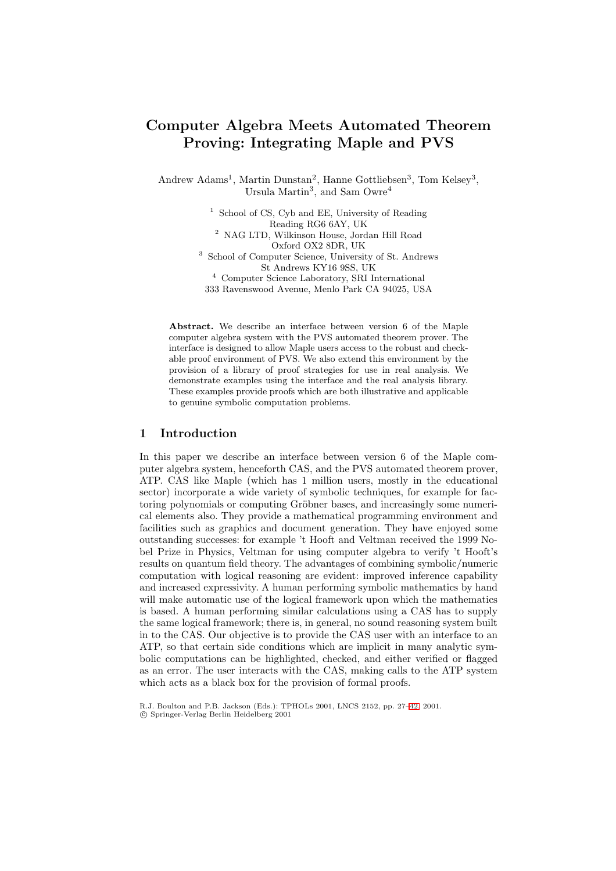# **Computer Algebra Meets Automated Theorem Proving: Integrating Maple and PVS**

Andrew Adams<sup>1</sup>, Martin Dunstan<sup>2</sup>, Hanne Gottliebsen<sup>3</sup>, Tom Kelsey<sup>3</sup>, Ursula Martin<sup>3</sup>, and Sam Owre<sup>4</sup>

> <sup>1</sup> School of CS, Cyb and EE, University of Reading Reading RG6 6AY, UK <sup>2</sup> NAG LTD, Wilkinson House, Jordan Hill Road Oxford OX2 8DR, UK <sup>3</sup> School of Computer Science, University of St. Andrews St Andrews KY16 9SS, UK <sup>4</sup> Computer Science Laboratory, SRI International 333 Ravenswood Avenue, Menlo Park CA 94025, USA

**Abstract.** We describe an interface between version 6 of the Maple computer algebra system with the PVS automated theorem prover. The interface is designed to allow Maple users access to the robust and checkable proof environment of PVS. We also extend this environment by the provision of a library of proof strategies for use in real analysis. We demonstrate examples using the interface and the real analysis library. These examples provide proofs which are both illustrative and applicable to genuine symbolic computation problems.

# **1 Introduction**

In this paper we describe an interface between version 6 of the Maple computer algebra system, henceforth CAS, and the PVS automated theorem prover, ATP. CAS like Maple (which has 1 million users, mostly in the educational sector) incorporate a wide variety of symbolic techniques, for example for factoring polynomials or computing Gröbner bases, and increasingly some numerical elements also. They provide a mathematical programming environment and facilities such as graphics and document generation. They have enjoyed some outstanding successes: for example 't Hooft and Veltman received the 1999 Nobel Prize in Physics, Veltman for using computer algebra to verify 't Hooft's results on quantum field theory. The advantages of combining symbolic/numeric computation with logical reasoning are evident: improved inference capability and increased expressivity. A human performing symbolic mathematics by hand will make automatic use of the logical framework upon which the mathematics is based. A human performing similar calculations using a CAS has to supply the same logical framework; there is, in general, no sound reasoning system built in to the CAS. Our objective is to provide the CAS user with an interface to an ATP, so that certain side conditions which are implicit in many analytic symbolic computations can be highlighted, checked, and either verified or flagged as an error. The user interacts with the CAS, making calls to the ATP system which acts as a black box for the provision of formal proofs.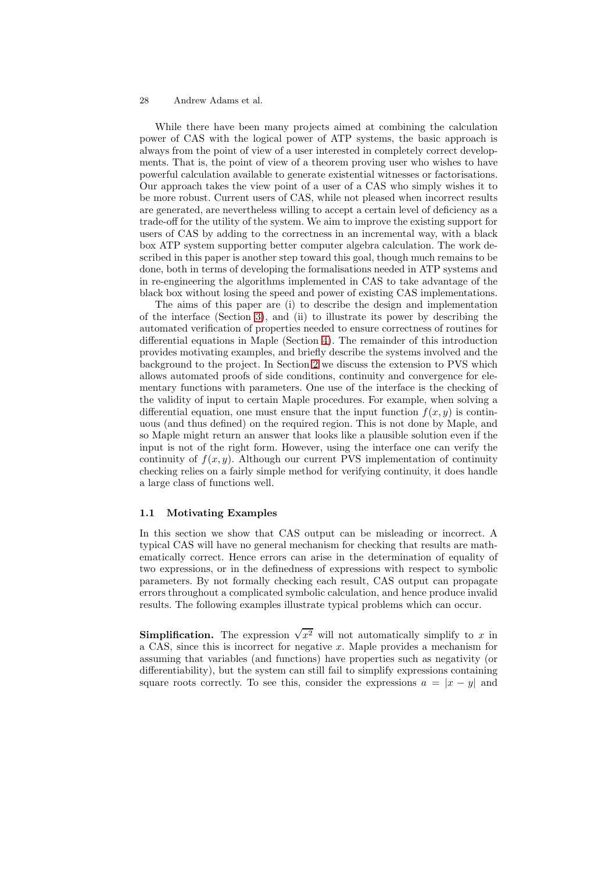While there have been many projects aimed at combining the calculation power of CAS with the logical power of ATP systems, the basic approach is always from the point of view of a user interested in completely correct developments. That is, the point of view of a theorem proving user who wishes to have powerful calculation available to generate existential witnesses or factorisations. Our approach takes the view point of a user of a CAS who simply wishes it to be more robust. Current users of CAS, while not pleased when incorrect results are generated, are nevertheless willing to accept a certain level of deficiency as a trade-off for the utility of the system. We aim to improve the existing support for users of CAS by adding to the correctness in an incremental way, with a black box ATP system supporting better computer algebra calculation. The work described in this paper is another step toward this goal, though much remains to be done, both in terms of developing the formalisations needed in ATP systems and in re-engineering the algorithms implemented in CAS to take advantage of the black box without losing the speed and power of existing CAS implementations.

The aims of this paper are (i) to describe the design and implementation of the interface (Section [3\)](#page-6-0), and (ii) to illustrate its power by describing the automated verification of properties needed to ensure correctness of routines for differential equations in Maple (Section [4\)](#page-10-0). The remainder of this introduction provides motivating examples, and briefly describe the systems involved and the background to the project. In Section [2](#page-5-0) we discuss the extension to PVS which allows automated proofs of side conditions, continuity and convergence for elementary functions with parameters. One use of the interface is the checking of the validity of input to certain Maple procedures. For example, when solving a differential equation, one must ensure that the input function  $f(x, y)$  is continuous (and thus defined) on the required region. This is not done by Maple, and so Maple might return an answer that looks like a plausible solution even if the input is not of the right form. However, using the interface one can verify the continuity of  $f(x, y)$ . Although our current PVS implementation of continuity checking relies on a fairly simple method for verifying continuity, it does handle a large class of functions well.

# <span id="page-1-0"></span>**1.1 Motivating Examples**

In this section we show that CAS output can be misleading or incorrect. A typical CAS will have no general mechanism for checking that results are mathematically correct. Hence errors can arise in the determination of equality of two expressions, or in the definedness of expressions with respect to symbolic parameters. By not formally checking each result, CAS output can propagate errors throughout a complicated symbolic calculation, and hence produce invalid results. The following examples illustrate typical problems which can occur.

**Simplification.** The expression  $\sqrt{x^2}$  will not automatically simplify to x in a CAS, since this is incorrect for negative  $x$ . Maple provides a mechanism for assuming that variables (and functions) have properties such as negativity (or differentiability), but the system can still fail to simplify expressions containing square roots correctly. To see this, consider the expressions  $a = |x - y|$  and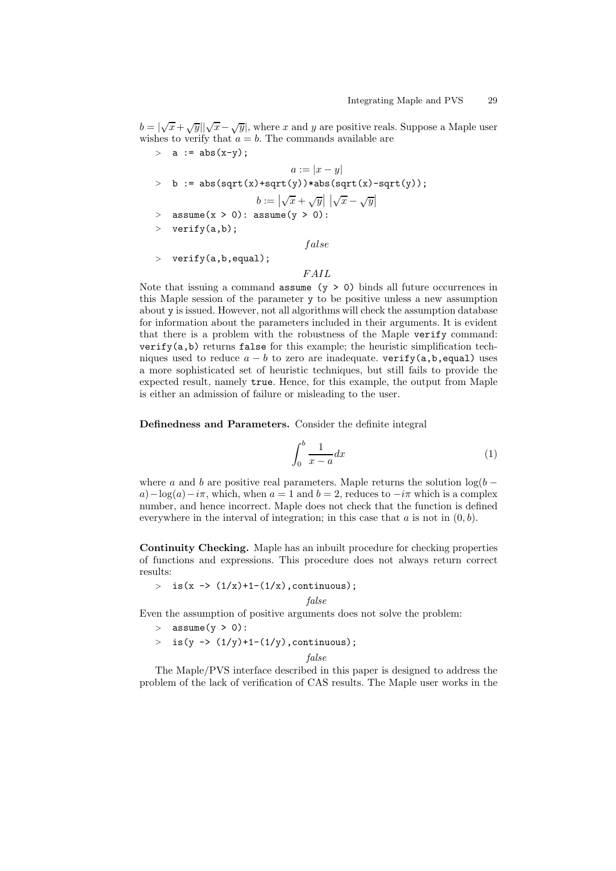$b = |\sqrt{x} + \sqrt{y}| |\sqrt{x} - \sqrt{y}|$ , where x and y are positive reals. Suppose a Maple user wishes to verify that  $a = b$ . The commands available are

<sup>&</sup>gt; a := abs(x-y); a := |x − y| <sup>&</sup>gt; b := abs(sqrt(x)+sqrt(y))\*abs(sqrt(x)-sqrt(y)); b := <sup>√</sup><sup>x</sup> <sup>+</sup> <sup>√</sup><sup>y</sup> <sup>√</sup><sup>x</sup> <sup>−</sup> <sup>√</sup><sup>y</sup> <sup>&</sup>gt; assume(x > 0): assume(y > 0): <sup>&</sup>gt; verify(a,b); f alse <sup>&</sup>gt; verify(a,b,equal);

#### F AIL

Note that issuing a command **assume**  $(y > 0)$  binds all future occurrences in this Maple session of the parameter y to be positive unless a new assumption about y is issued. However, not all algorithms will check the assumption database for information about the parameters included in their arguments. It is evident that there is a problem with the robustness of the Maple verify command: verify(a,b) returns false for this example; the heuristic simplification techniques used to reduce  $a - b$  to zero are inadequate. verify(a,b,equal) uses a more sophisticated set of heuristic techniques, but still fails to provide the expected result, namely true. Hence, for this example, the output from Maple is either an admission of failure or misleading to the user.

#### **Definedness and Parameters.** Consider the definite integral

$$
\int_0^b \frac{1}{x-a} dx\tag{1}
$$

where a and b are positive real parameters. Maple returns the solution  $\log(b$  $a) - \log(a) - i\pi$ , which, when  $a = 1$  and  $b = 2$ , reduces to  $-i\pi$  which is a complex number, and hence incorrect. Maple does not check that the function is defined everywhere in the interval of integration; in this case that  $a$  is not in  $(0, b)$ .

**Continuity Checking.** Maple has an inbuilt procedure for checking properties of functions and expressions. This procedure does not always return correct results:

$$
> is(x - (1/x) + 1 - (1/x), continuous);
$$

*false*

Even the assumption of positive arguments does not solve the problem:

 $>$  is(y -> (1/y)+1-(1/y), continuous);

#### *false*

The Maple/PVS interface described in this paper is designed to address the problem of the lack of verification of CAS results. The Maple user works in the

 $>$  assume(y > 0):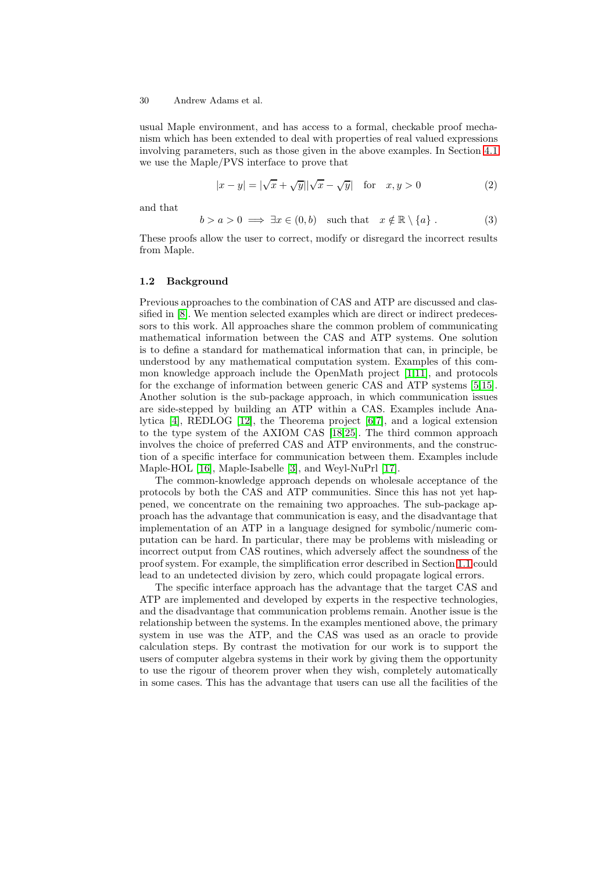usual Maple environment, and has access to a formal, checkable proof mechanism which has been extended to deal with properties of real valued expressions involving parameters, such as those given in the above examples. In Section [4.1](#page-10-1) we use the Maple/PVS interface to prove that

$$
|x - y| = |\sqrt{x} + \sqrt{y}| |\sqrt{x} - \sqrt{y}| \quad \text{for} \quad x, y > 0 \tag{2}
$$

<span id="page-3-0"></span>and that

$$
b > a > 0 \implies \exists x \in (0, b) \quad \text{such that} \quad x \notin \mathbb{R} \setminus \{a\} \,. \tag{3}
$$

These proofs allow the user to correct, modify or disregard the incorrect results from Maple.

## **1.2 Background**

Previous approaches to the combination of CAS and ATP are discussed and classified in [\[8\]](#page-15-1). We mention selected examples which are direct or indirect predecessors to this work. All approaches share the common problem of communicating mathematical information between the CAS and ATP systems. One solution is to define a standard for mathematical information that can, in principle, be understood by any mathematical computation system. Examples of this common knowledge approach include the OpenMath project [\[1](#page-14-0)[,11\]](#page-15-2), and protocols for the exchange of information between generic CAS and ATP systems [\[5](#page-14-1)[,15\]](#page-15-3). Another solution is the sub-package approach, in which communication issues are side-stepped by building an ATP within a CAS. Examples include Analytica [\[4\]](#page-14-2), REDLOG [\[12\]](#page-15-4), the Theorema project [\[6](#page-14-3)[,7\]](#page-14-4), and a logical extension to the type system of the AXIOM CAS [\[18](#page-15-5)[,25\]](#page-15-6). The third common approach involves the choice of preferred CAS and ATP environments, and the construction of a specific interface for communication between them. Examples include Maple-HOL [\[16\]](#page-15-7), Maple-Isabelle [\[3\]](#page-14-5), and Weyl-NuPrl [\[17\]](#page-15-8).

The common-knowledge approach depends on wholesale acceptance of the protocols by both the CAS and ATP communities. Since this has not yet happened, we concentrate on the remaining two approaches. The sub-package approach has the advantage that communication is easy, and the disadvantage that implementation of an ATP in a language designed for symbolic/numeric computation can be hard. In particular, there may be problems with misleading or incorrect output from CAS routines, which adversely affect the soundness of the proof system. For example, the simplification error described in Section [1.1](#page-1-0) could lead to an undetected division by zero, which could propagate logical errors.

The specific interface approach has the advantage that the target CAS and ATP are implemented and developed by experts in the respective technologies, and the disadvantage that communication problems remain. Another issue is the relationship between the systems. In the examples mentioned above, the primary system in use was the ATP, and the CAS was used as an oracle to provide calculation steps. By contrast the motivation for our work is to support the users of computer algebra systems in their work by giving them the opportunity to use the rigour of theorem prover when they wish, completely automatically in some cases. This has the advantage that users can use all the facilities of the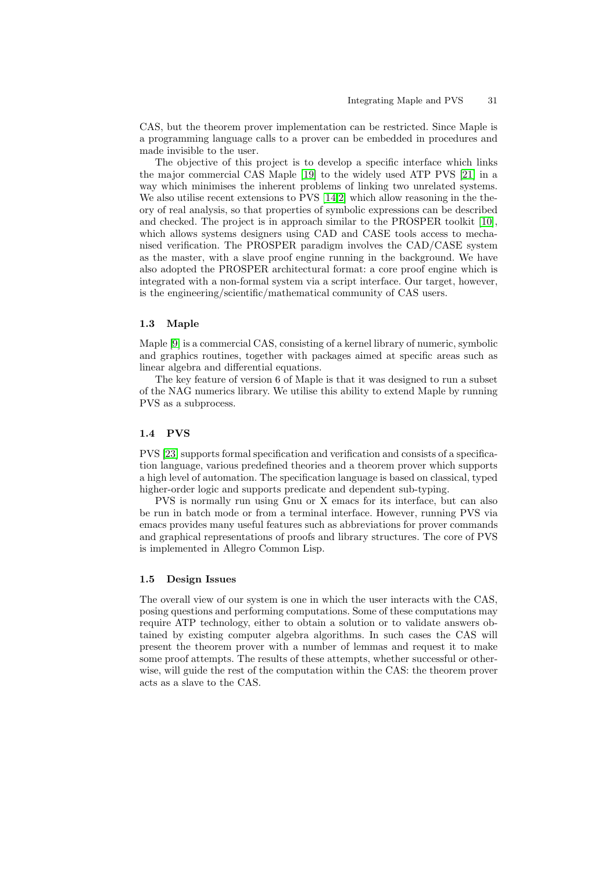CAS, but the theorem prover implementation can be restricted. Since Maple is a programming language calls to a prover can be embedded in procedures and made invisible to the user.

The objective of this project is to develop a specific interface which links the major commercial CAS Maple [\[19\]](#page-15-9) to the widely used ATP PVS [\[21\]](#page-15-10) in a way which minimises the inherent problems of linking two unrelated systems. We also utilise recent extensions to PVS [\[14](#page-15-11)[,2\]](#page-14-6) which allow reasoning in the theory of real analysis, so that properties of symbolic expressions can be described and checked. The project is in approach similar to the PROSPER toolkit [\[10\]](#page-15-12), which allows systems designers using CAD and CASE tools access to mechanised verification. The PROSPER paradigm involves the CAD/CASE system as the master, with a slave proof engine running in the background. We have also adopted the PROSPER architectural format: a core proof engine which is integrated with a non-formal system via a script interface. Our target, however, is the engineering/scientific/mathematical community of CAS users.

## **1.3 Maple**

Maple [\[9\]](#page-15-13) is a commercial CAS, consisting of a kernel library of numeric, symbolic and graphics routines, together with packages aimed at specific areas such as linear algebra and differential equations.

The key feature of version 6 of Maple is that it was designed to run a subset of the NAG numerics library. We utilise this ability to extend Maple by running PVS as a subprocess.

## **1.4 PVS**

PVS [\[23\]](#page-15-14) supports formal specification and verification and consists of a specification language, various predefined theories and a theorem prover which supports a high level of automation. The specification language is based on classical, typed higher-order logic and supports predicate and dependent sub-typing.

PVS is normally run using Gnu or X emacs for its interface, but can also be run in batch mode or from a terminal interface. However, running PVS via emacs provides many useful features such as abbreviations for prover commands and graphical representations of proofs and library structures. The core of PVS is implemented in Allegro Common Lisp.

## **1.5 Design Issues**

The overall view of our system is one in which the user interacts with the CAS, posing questions and performing computations. Some of these computations may require ATP technology, either to obtain a solution or to validate answers obtained by existing computer algebra algorithms. In such cases the CAS will present the theorem prover with a number of lemmas and request it to make some proof attempts. The results of these attempts, whether successful or otherwise, will guide the rest of the computation within the CAS: the theorem prover acts as a slave to the CAS.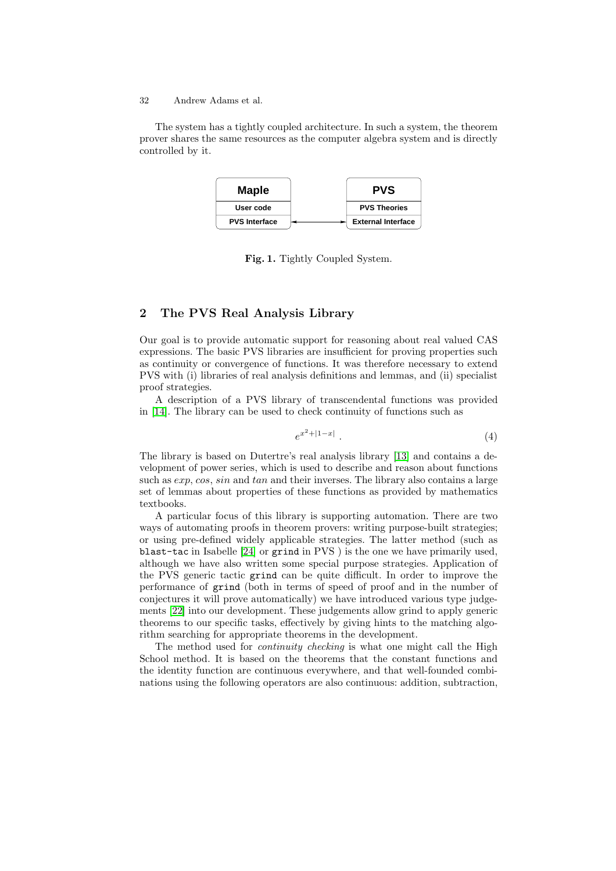The system has a tightly coupled architecture. In such a system, the theorem prover shares the same resources as the computer algebra system and is directly controlled by it.



**Fig. 1.** Tightly Coupled System.

# <span id="page-5-0"></span>**2 The PVS Real Analysis Library**

Our goal is to provide automatic support for reasoning about real valued CAS expressions. The basic PVS libraries are insufficient for proving properties such as continuity or convergence of functions. It was therefore necessary to extend PVS with (i) libraries of real analysis definitions and lemmas, and (ii) specialist proof strategies.

<span id="page-5-1"></span>A description of a PVS library of transcendental functions was provided in [\[14\]](#page-15-11). The library can be used to check continuity of functions such as

$$
e^{x^2 + |1-x|} \tag{4}
$$

The library is based on Dutertre's real analysis library [\[13\]](#page-15-15) and contains a development of power series, which is used to describe and reason about functions such as  $exp, cos, sin$  and  $tan$  and their inverses. The library also contains a large set of lemmas about properties of these functions as provided by mathematics textbooks.

A particular focus of this library is supporting automation. There are two ways of automating proofs in theorem provers: writing purpose-built strategies; or using pre-defined widely applicable strategies. The latter method (such as blast-tac in Isabelle [\[24\]](#page-15-16) or grind in PVS ) is the one we have primarily used, although we have also written some special purpose strategies. Application of the PVS generic tactic grind can be quite difficult. In order to improve the performance of grind (both in terms of speed of proof and in the number of conjectures it will prove automatically) we have introduced various type judgements [\[22\]](#page-15-17) into our development. These judgements allow grind to apply generic theorems to our specific tasks, effectively by giving hints to the matching algorithm searching for appropriate theorems in the development.

The method used for *continuity checking* is what one might call the High School method. It is based on the theorems that the constant functions and the identity function are continuous everywhere, and that well-founded combinations using the following operators are also continuous: addition, subtraction,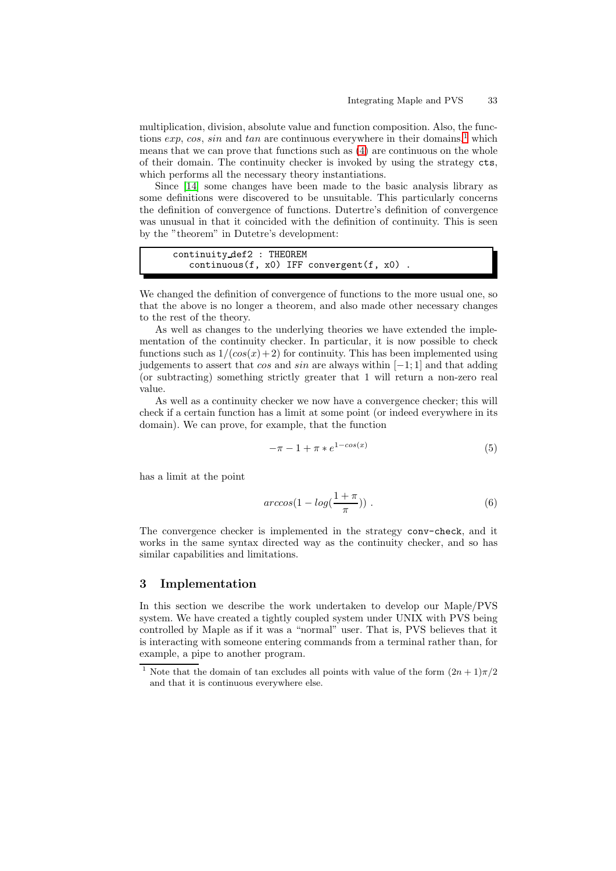multiplication, division, absolute value and function composition. Also, the functions  $exp$ ,  $cos$ ,  $sin$  and  $tan$  are continuous everywhere in their domains,<sup>[1](#page-6-1)</sup> which means that we can prove that functions such as [\(4\)](#page-5-1) are continuous on the whole of their domain. The continuity checker is invoked by using the strategy cts, which performs all the necessary theory instantiations.

Since [\[14\]](#page-15-11) some changes have been made to the basic analysis library as some definitions were discovered to be unsuitable. This particularly concerns the definition of convergence of functions. Dutertre's definition of convergence was unusual in that it coincided with the definition of continuity. This is seen by the "theorem" in Dutetre's development:

```
continuity def2 : THEOREM
   continuous(f, x0) IFF convergent(f, x0) .
```
We changed the definition of convergence of functions to the more usual one, so that the above is no longer a theorem, and also made other necessary changes to the rest of the theory.

As well as changes to the underlying theories we have extended the implementation of the continuity checker. In particular, it is now possible to check functions such as  $1/(cos(x) + 2)$  for continuity. This has been implemented using judgements to assert that cos and sin are always within  $[-1, 1]$  and that adding (or subtracting) something strictly greater that 1 will return a non-zero real value.

As well as a continuity checker we now have a convergence checker; this will check if a certain function has a limit at some point (or indeed everywhere in its domain). We can prove, for example, that the function

$$
-\pi - 1 + \pi * e^{1 - \cos(x)} \tag{5}
$$

has a limit at the point

$$
arccos(1 - log(\frac{1+\pi}{\pi})) . \tag{6}
$$

The convergence checker is implemented in the strategy conv-check, and it works in the same syntax directed way as the continuity checker, and so has similar capabilities and limitations.

## <span id="page-6-0"></span>**3 Implementation**

In this section we describe the work undertaken to develop our Maple/PVS system. We have created a tightly coupled system under UNIX with PVS being controlled by Maple as if it was a "normal" user. That is, PVS believes that it is interacting with someone entering commands from a terminal rather than, for example, a pipe to another program.

<span id="page-6-1"></span>Note that the domain of tan excludes all points with value of the form  $(2n + 1)\pi/2$ and that it is continuous everywhere else.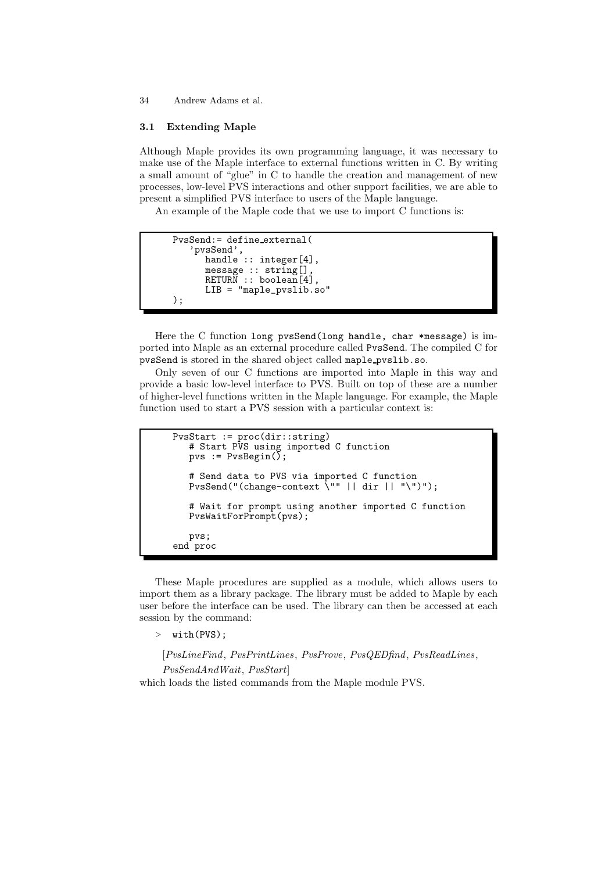# **3.1 Extending Maple**

Although Maple provides its own programming language, it was necessary to make use of the Maple interface to external functions written in C. By writing a small amount of "glue" in C to handle the creation and management of new processes, low-level PVS interactions and other support facilities, we are able to present a simplified PVS interface to users of the Maple language.

An example of the Maple code that we use to import C functions is:

```
PvsSend:= define external(
   'pvsSend',
      handle :: integer[4],
      message :: string[],
      RETURN :: boolean[4],
      LIB = "maple_pvslib.so"
);
```
Here the C function long pvsSend(long handle, char \*message) is imported into Maple as an external procedure called PvsSend. The compiled C for pvsSend is stored in the shared object called maple pvslib.so.

Only seven of our C functions are imported into Maple in this way and provide a basic low-level interface to PVS. Built on top of these are a number of higher-level functions written in the Maple language. For example, the Maple function used to start a PVS session with a particular context is:

```
PvsStart := proc(dir::string)
   # Start PVS using imported C function
   pvs := PvsBegin(\bar{)};
   # Send data to PVS via imported C function
   PvsSend("(change-context \"" || dir || "\")");
   # Wait for prompt using another imported C function
   PvsWaitForPrompt(pvs);
   pvs;
end proc
```
These Maple procedures are supplied as a module, which allows users to import them as a library package. The library must be added to Maple by each user before the interface can be used. The library can then be accessed at each session by the command:

<sup>&</sup>gt; with(PVS);

[*PvsLineFind* , *PvsPrintLines*, *PvsProve*, *PvsQEDfind*, *PvsReadLines*, *PvsSendAndWait*, *PvsStart*] which loads the listed commands from the Maple module PVS.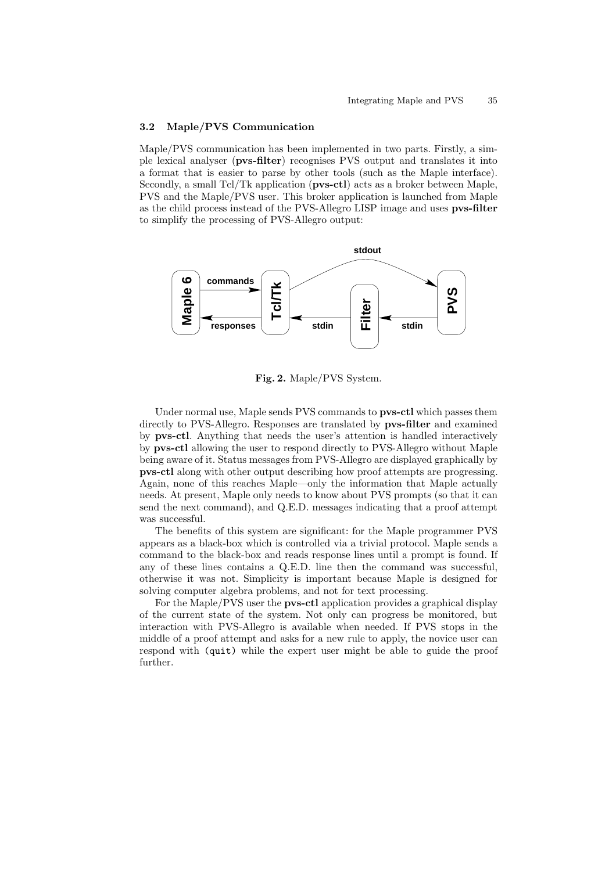## **3.2 Maple/PVS Communication**

Maple/PVS communication has been implemented in two parts. Firstly, a simple lexical analyser (**pvs-filter**) recognises PVS output and translates it into a format that is easier to parse by other tools (such as the Maple interface). Secondly, a small Tcl/Tk application (**pvs-ctl**) acts as a broker between Maple, PVS and the Maple/PVS user. This broker application is launched from Maple as the child process instead of the PVS-Allegro LISP image and uses **pvs-filter** to simplify the processing of PVS-Allegro output:



**Fig. 2.** Maple/PVS System.

Under normal use, Maple sends PVS commands to **pvs-ctl** which passes them directly to PVS-Allegro. Responses are translated by **pvs-filter** and examined by **pvs-ctl**. Anything that needs the user's attention is handled interactively by **pvs-ctl** allowing the user to respond directly to PVS-Allegro without Maple being aware of it. Status messages from PVS-Allegro are displayed graphically by **pvs-ctl** along with other output describing how proof attempts are progressing. Again, none of this reaches Maple—only the information that Maple actually needs. At present, Maple only needs to know about PVS prompts (so that it can send the next command), and Q.E.D. messages indicating that a proof attempt was successful.

The benefits of this system are significant: for the Maple programmer PVS appears as a black-box which is controlled via a trivial protocol. Maple sends a command to the black-box and reads response lines until a prompt is found. If any of these lines contains a Q.E.D. line then the command was successful, otherwise it was not. Simplicity is important because Maple is designed for solving computer algebra problems, and not for text processing.

For the Maple/PVS user the **pvs-ctl** application provides a graphical display of the current state of the system. Not only can progress be monitored, but interaction with PVS-Allegro is available when needed. If PVS stops in the middle of a proof attempt and asks for a new rule to apply, the novice user can respond with (quit) while the expert user might be able to guide the proof further.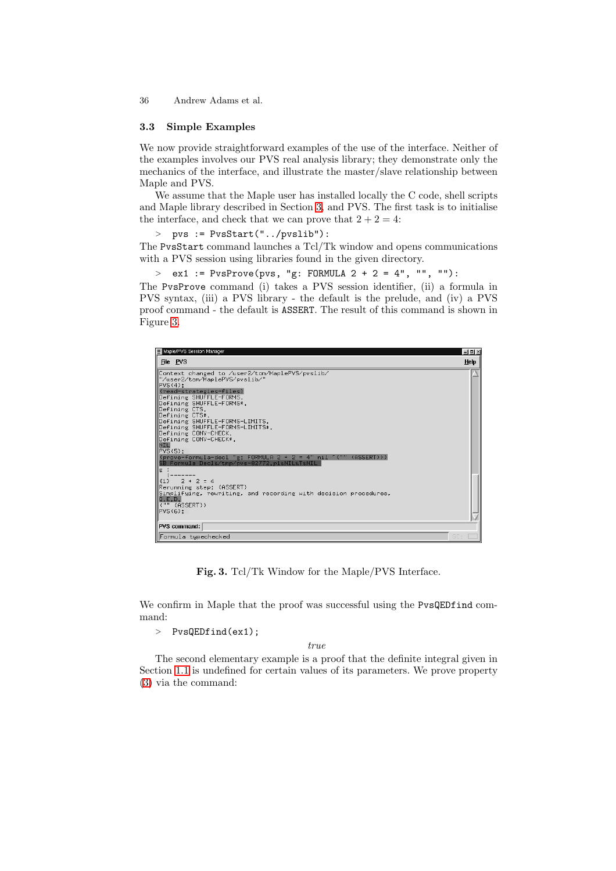# **3.3 Simple Examples**

We now provide straightforward examples of the use of the interface. Neither of the examples involves our PVS real analysis library; they demonstrate only the mechanics of the interface, and illustrate the master/slave relationship between Maple and PVS.

We assume that the Maple user has installed locally the C code, shell scripts and Maple library described in Section [3,](#page-6-0) and PVS. The first task is to initialise the interface, and check that we can prove that  $2 + 2 = 4$ :

```
> pvs := PvsStart("../pvslib"):
```
The PvsStart command launches a Tcl/Tk window and opens communications with a PVS session using libraries found in the given directory.

> ex1 := PvsProve(pvs, "g: FORMULA  $2 + 2 = 4$ ", "", ""): The PvsProve command (i) takes a PVS session identifier, (ii) a formula in PVS syntax, (iii) a PVS library - the default is the prelude, and (iv) a PVS proof command - the default is ASSERT. The result of this command is shown in Figure [3.](#page-9-0)

| Maple/PVS Session Manager                                                                                                                                                                                                                                                                                                                                                                                                                                                            | $-1 = 1$    |
|--------------------------------------------------------------------------------------------------------------------------------------------------------------------------------------------------------------------------------------------------------------------------------------------------------------------------------------------------------------------------------------------------------------------------------------------------------------------------------------|-------------|
| File PVS                                                                                                                                                                                                                                                                                                                                                                                                                                                                             | <b>Help</b> |
| Context changed to /user2/tom/MaplePVS/pvslib/<br>"/user2/tom/MaplePVS/pvslib/"<br>IPVS(4):<br>(read-strategies-files)<br>⊪Defining SHUFFLE-FORMS.<br>∥Defining SHUFFLE–FORMS\$.<br>Defining CTS.<br>∥Defining CTS\$.<br>Defining SHUFFLE-FORMS-LIMITS.<br>∥Defining SHUFFLE–FORMS–LIMITS\$.<br>∥Defining CONV-CHECK.<br>∥Defining CONV-CHECK\$.<br>NIL<br>PVS(5):<br>∥(prove–formula–decl "g: FORMULA 2 + 2 = 4" nil ′("" (ASSERT)))<br>SB Formula Decla/tmp/pvs-82772.p1aNILaTaNIL |             |
| g ∶<br>$\{13 \}$ 2 + 2 = 4<br>Rerunning step: (ASSERT)<br>Simplifuing, rewriting, and recording with decision procedures,<br>Q.E.D.<br>$(T''''$ (ASSERT))<br>IPVS(6):<br>PVS command:                                                                                                                                                                                                                                                                                                |             |
| Formula typechecked                                                                                                                                                                                                                                                                                                                                                                                                                                                                  | GC:         |

**Fig. 3.** Tcl/Tk Window for the Maple/PVS Interface.

<span id="page-9-0"></span>We confirm in Maple that the proof was successful using the PvsQED find command:

```
> PvsQEDfind(ex1);
```
*true*

The second elementary example is a proof that the definite integral given in Section [1.1](#page-1-0) is undefined for certain values of its parameters. We prove property [\(3\)](#page-3-0) via the command: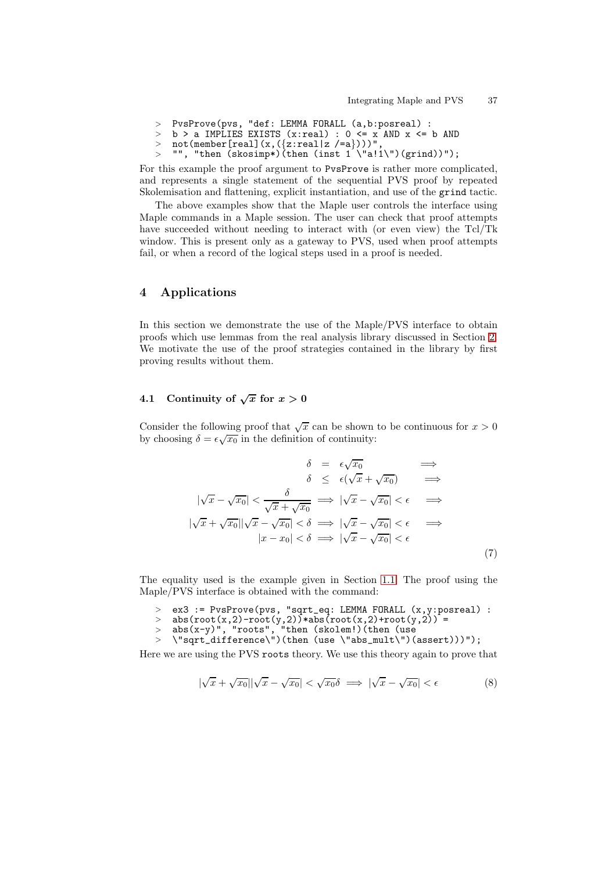```
> PvsProve(pvs, "def: LEMMA FORALL (a,b:posreal) :
> b > a IMPLIES EXISTS (x:real) : 0 \le x AND x \le b AND
   not(member[real](x,({z:real|z /=a})))",
   "", "then (skosimp*)(then (inst 1 \n\langle \text{val}(1 \mid \text{val}(1)) \rangle;
```
For this example the proof argument to PvsProve is rather more complicated, and represents a single statement of the sequential PVS proof by repeated Skolemisation and flattening, explicit instantiation, and use of the grind tactic.

The above examples show that the Maple user controls the interface using Maple commands in a Maple session. The user can check that proof attempts have succeeded without needing to interact with (or even view) the Tcl/Tk window. This is present only as a gateway to PVS, used when proof attempts fail, or when a record of the logical steps used in a proof is needed.

## <span id="page-10-0"></span>**4 Applications**

In this section we demonstrate the use of the Maple/PVS interface to obtain proofs which use lemmas from the real analysis library discussed in Section [2.](#page-5-0) We motivate the use of the proof strategies contained in the library by first proving results without them.

## <span id="page-10-1"></span>**4.1** Continuity of  $\sqrt{x}$  for  $x > 0$

Consider the following proof that  $\sqrt{x}$  can be shown to be continuous for  $x > 0$ by choosing  $\delta = \epsilon \sqrt{x_0}$  in the definition of continuity:

$$
\delta = \epsilon \sqrt{x_0} \implies
$$
  
\n
$$
\delta \le \epsilon (\sqrt{x} + \sqrt{x_0}) \implies
$$
  
\n
$$
|\sqrt{x} - \sqrt{x_0}| < \frac{\delta}{\sqrt{x} + \sqrt{x_0}} \implies |\sqrt{x} - \sqrt{x_0}| < \epsilon \implies
$$
  
\n
$$
|\sqrt{x} + \sqrt{x_0}||\sqrt{x} - \sqrt{x_0}| < \delta \implies |\sqrt{x} - \sqrt{x_0}| < \epsilon \implies
$$
  
\n
$$
|x - x_0| < \delta \implies |\sqrt{x} - \sqrt{x_0}| < \epsilon \tag{7}
$$

The equality used is the example given in Section [1.1.](#page-1-0) The proof using the Maple/PVS interface is obtained with the command:

<sup>&</sup>gt; ex3 := PvsProve(pvs, "sqrt\_eq: LEMMA FORALL (x,y:posreal) :

- $\qquad \qquad \text{abs}(\texttt{root}(x,2)\texttt{-root}(y,2))*\texttt{abs}(\texttt{root}(x,2)\texttt{+root}(y,2)) =$
- $abs(x-y)$ ", "roots", "then (skolem!)(then (use
- <sup>&</sup>gt; \"sqrt\_difference\")(then (use \"abs\_mult\")(assert)))");

Here we are using the PVS roots theory. We use this theory again to prove that

$$
|\sqrt{x} + \sqrt{x_0}| |\sqrt{x} - \sqrt{x_0}| < \sqrt{x_0} \delta \implies |\sqrt{x} - \sqrt{x_0}| < \epsilon
$$
 (8)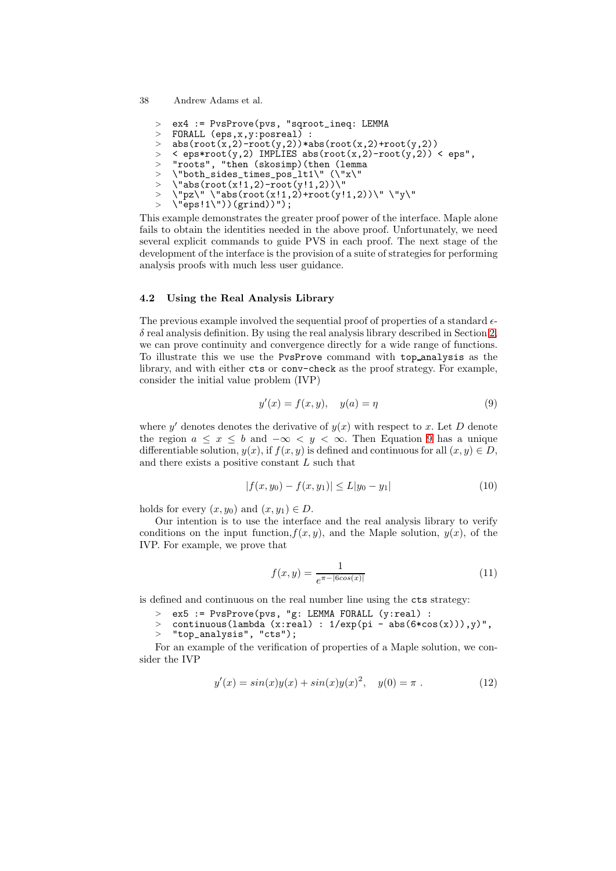- > ex4 := PvsProve(pvs, "sqroot\_ineq: LEMMA<br>> FORALL (eps,x.v:posreal) :
- <sup>&</sup>gt; FORALL (eps,x,y:posreal) :
- $>$  abs(root(x,2)-root(y,2))\*abs(root(x,2)+root(y,2))
- $>$  < eps\*root(y,2) IMPLIES abs(root(x,2)-root(y,2)) < eps",
- <sup>&</sup>gt; "roots", "then (skosimp)(then (lemma
- $>$  \"both\_sides\_times\_pos\_1t1\" (\"x\"<br>> \"abs(root(x!1.2)-root(y!1.2))\"  $\forall$ "abs(root(x!1,2)-root(y!1,2)) $\forall$ "
- >  $\sqrt{p}z\$ "  $\log(z\cdot z\cdot 1,2)$ +root(y!1,2)) $\sqrt{y}\$ "<br>>  $\log(11|y)$ (grind))"):
- $\langle "eps!1\\ ")\; (grind))"$ ;

This example demonstrates the greater proof power of the interface. Maple alone fails to obtain the identities needed in the above proof. Unfortunately, we need several explicit commands to guide PVS in each proof. The next stage of the development of the interface is the provision of a suite of strategies for performing analysis proofs with much less user guidance.

## **4.2 Using the Real Analysis Library**

The previous example involved the sequential proof of properties of a standard  $\epsilon$ - $\delta$  real analysis definition. By using the real analysis library described in Section [2,](#page-5-0) we can prove continuity and convergence directly for a wide range of functions. To illustrate this we use the PvsProve command with top analysis as the library, and with either cts or conv-check as the proof strategy. For example, consider the initial value problem (IVP)

<span id="page-11-0"></span>
$$
y'(x) = f(x, y), \quad y(a) = \eta \tag{9}
$$

where y' denotes denotes the derivative of  $y(x)$  with respect to x. Let D denote the region  $a \leq x \leq b$  and  $-\infty < y < \infty$ . Then Equation [9](#page-11-0) has a unique differentiable solution,  $y(x)$ , if  $f(x, y)$  is defined and continuous for all  $(x, y) \in D$ , and there exists a positive constant  $L$  such that

$$
|f(x, y_0) - f(x, y_1)| \le L|y_0 - y_1| \tag{10}
$$

holds for every  $(x, y_0)$  and  $(x, y_1) \in D$ .

Our intention is to use the interface and the real analysis library to verify conditions on the input function,  $f(x, y)$ , and the Maple solution,  $y(x)$ , of the IVP. For example, we prove that

$$
f(x,y) = \frac{1}{e^{\pi - |6\cos(x)|}}
$$
 (11)

is defined and continuous on the real number line using the cts strategy:

- $>$  ex5 := PvsProve(pvs, "g: LEMMA FORALL (y:real) :
- $continuous(lambda (x:real) : 1/exp(pi abs(6*cos(x))), y)$ ",
- <sup>&</sup>gt; "top\_analysis", "cts");

For an example of the verification of properties of a Maple solution, we consider the IVP

$$
y'(x) = \sin(x)y(x) + \sin(x)y(x)^2, \quad y(0) = \pi.
$$
 (12)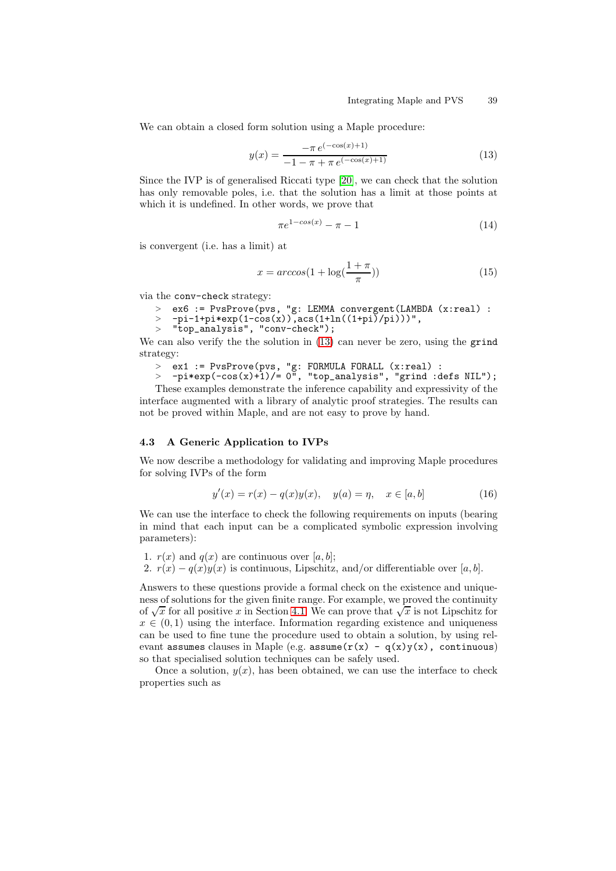We can obtain a closed form solution using a Maple procedure:

<span id="page-12-0"></span>
$$
y(x) = \frac{-\pi e^{(-\cos(x) + 1)}}{-1 - \pi + \pi e^{(-\cos(x) + 1)}}
$$
(13)

Since the IVP is of generalised Riccati type [\[20\]](#page-15-18), we can check that the solution has only removable poles, i.e. that the solution has a limit at those points at which it is undefined. In other words, we prove that

$$
\pi e^{1 - \cos(x)} - \pi - 1\tag{14}
$$

is convergent (i.e. has a limit) at

$$
x = \arccos(1 + \log(\frac{1 + \pi}{\pi}))\tag{15}
$$

via the conv-check strategy:

- <sup>&</sup>gt; ex6 := PvsProve(pvs, "g: LEMMA convergent(LAMBDA (x:real) :
- $-pi-1+pi*exp(1-cos(x)),$ acs $(1+ln((1+pi)/pi)))$ ",
- <sup>&</sup>gt; "top\_analysis", "conv-check");

We can also verify the the solution in  $(13)$  can never be zero, using the grind strategy:

- <sup>&</sup>gt; ex1 := PvsProve(pvs, "g: FORMULA FORALL (x:real) :
- $>$  -pi $*$ exp(-cos(x)+1)/= 0", "top\_analysis", "grind :defs NIL");

These examples demonstrate the inference capability and expressivity of the interface augmented with a library of analytic proof strategies. The results can not be proved within Maple, and are not easy to prove by hand.

### <span id="page-12-1"></span>**4.3 A Generic Application to IVPs**

We now describe a methodology for validating and improving Maple procedures for solving IVPs of the form

$$
y'(x) = r(x) - q(x)y(x), \quad y(a) = \eta, \quad x \in [a, b]
$$
 (16)

We can use the interface to check the following requirements on inputs (bearing in mind that each input can be a complicated symbolic expression involving parameters):

1.  $r(x)$  and  $q(x)$  are continuous over [a, b]; 2.  $r(x) - q(x)y(x)$  is continuous, Lipschitz, and/or differentiable over [a, b].

Answers to these questions provide a formal check on the existence and uniqueness of solutions for the given finite range. For example, we proved the continuity of  $\sqrt{x}$  for all positive x in Section [4.1.](#page-10-1) We can prove that  $\sqrt{x}$  is not Lipschitz for  $x \in (0, 1)$  using the interface. Information regarding existence and uniqueness can be used to fine tune the procedure used to obtain a solution, by using relevant assumes clauses in Maple (e.g. assume  $(r(x) - q(x)y(x))$ , continuous) so that specialised solution techniques can be safely used.

Once a solution,  $y(x)$ , has been obtained, we can use the interface to check properties such as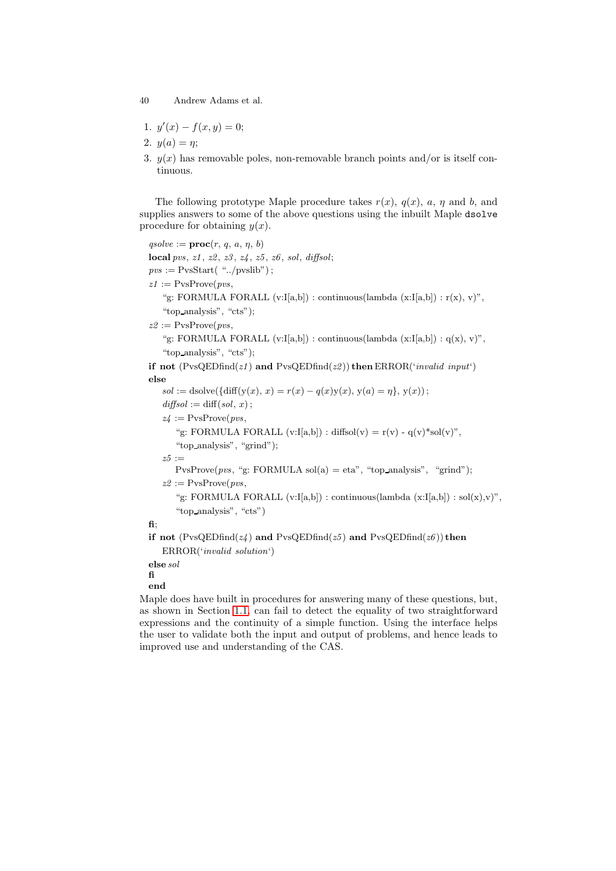- 1.  $y'(x) f(x, y) = 0;$
- 2.  $y(a) = \eta$ ;
- 3.  $y(x)$  has removable poles, non-removable branch points and/or is itself continuous.

The following prototype Maple procedure takes  $r(x)$ ,  $q(x)$ ,  $a$ ,  $\eta$  and b, and supplies answers to some of the above questions using the inbuilt Maple dsolve procedure for obtaining  $y(x)$ .

```
qsolve := \mathbf{proc}(r, q, a, \eta, b)local pvs, z1, z2, z3, z4, z5, z6, sol, diffsol;
pvs := \text{PvsStart}(\text{``.}/\text{pvslib''});z1 := \text{PvsProve}(pvs,"g: FORMULA FORALL (v:I[a,b]): continuous(lambda (x:I[a,b]): r(x), v)",
   "top analysis", "cts");
z2 := \text{PvsProve}(pvs,"g: FORMULA FORALL (v:I[a,b]): continuous(lambda (x:I[a,b]): q(x), v<sup>"</sup>,
   "top analysis", "cts");
if not (PvsQEDfind(z1) and PvsQEDfind(z2)) then ERROR('invalid input')else
   sol := dsolve(\{\text{diff}(y(x), x) = r(x) - q(x)y(x), y(a) = \eta\}, y(x));diffsol := diff(sol, x);
   z_4 := \text{PvsProve}(pvs,"g: FORMULA FORALL (v:I[a,b]) : diffsol(v) = r(v) - q(v) * sol(v)",
      "top analysis", "grind");
   z5 :=PvsProve(pvs, "g: FORMULA sol(a) = eta", "top analysis", "grind");z2 := \text{PvsProve}(pvs,"g: FORMULA FORALL (v:I[a,b]): continuous(lambda (x:I[a,b]): sol(x),v",
      "top analysis", "cts")
fi;
if not (PvsQEDfind(z4) and PvsQEDfind(z5) and PvsQEDfind(z6)) then
   ERROR('invalid solution')
else sol
fi
```

```
end
```
Maple does have built in procedures for answering many of these questions, but, as shown in Section [1.1,](#page-1-0) can fail to detect the equality of two straightforward expressions and the continuity of a simple function. Using the interface helps the user to validate both the input and output of problems, and hence leads to improved use and understanding of the CAS.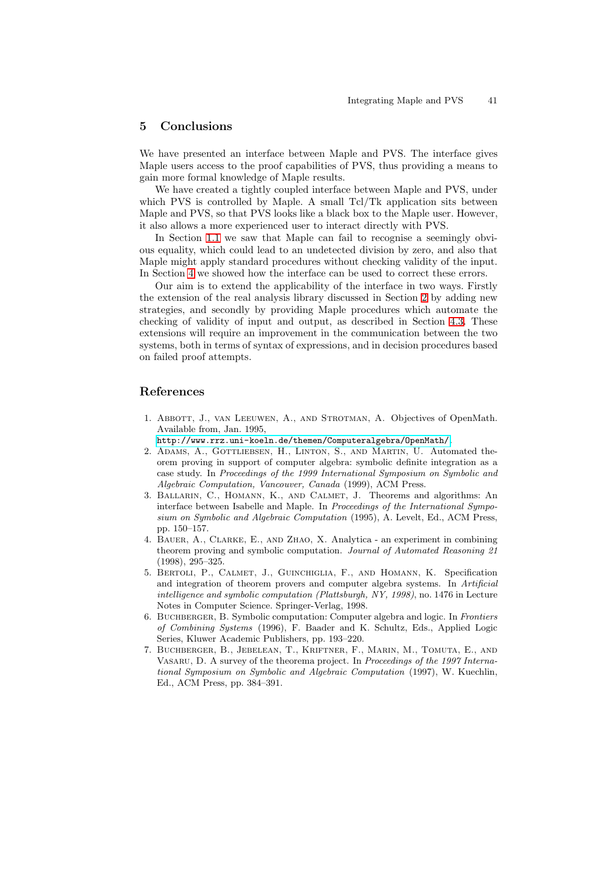## **5 Conclusions**

We have presented an interface between Maple and PVS. The interface gives Maple users access to the proof capabilities of PVS, thus providing a means to gain more formal knowledge of Maple results.

We have created a tightly coupled interface between Maple and PVS, under which PVS is controlled by Maple. A small Tcl/Tk application sits between Maple and PVS, so that PVS looks like a black box to the Maple user. However, it also allows a more experienced user to interact directly with PVS.

In Section [1.1](#page-1-0) we saw that Maple can fail to recognise a seemingly obvious equality, which could lead to an undetected division by zero, and also that Maple might apply standard procedures without checking validity of the input. In Section [4](#page-10-0) we showed how the interface can be used to correct these errors.

Our aim is to extend the applicability of the interface in two ways. Firstly the extension of the real analysis library discussed in Section [2](#page-5-0) by adding new strategies, and secondly by providing Maple procedures which automate the checking of validity of input and output, as described in Section [4.3.](#page-12-1) These extensions will require an improvement in the communication between the two systems, both in terms of syntax of expressions, and in decision procedures based on failed proof attempts.

## <span id="page-14-0"></span>**References**

- 1. Abbott, J., van Leeuwen, A., and Strotman, A. Objectives of OpenMath. Available from, Jan. 1995,
	- <http://www.rrz.uni-koeln.de/themen/Computeralgebra/OpenMath/>.
- <span id="page-14-6"></span>2. Adams, A., Gottliebsen, H., Linton, S., and Martin, U. Automated theorem proving in support of computer algebra: symbolic definite integration as a case study. In Proceedings of the 1999 International Symposium on Symbolic and Algebraic Computation, Vancouver, Canada (1999), ACM Press.
- <span id="page-14-5"></span>3. Ballarin, C., Homann, K., and Calmet, J. Theorems and algorithms: An interface between Isabelle and Maple. In Proceedings of the International Symposium on Symbolic and Algebraic Computation (1995), A. Levelt, Ed., ACM Press, pp. 150–157.
- <span id="page-14-2"></span>4. Bauer, A., Clarke, E., and Zhao, X. Analytica - an experiment in combining theorem proving and symbolic computation. Journal of Automated Reasoning 21 (1998), 295–325.
- <span id="page-14-1"></span>5. Bertoli, P., Calmet, J., Guinchiglia, F., and Homann, K. Specification and integration of theorem provers and computer algebra systems. In Artificial intelligence and symbolic computation (Plattsburgh, NY, 1998), no. 1476 in Lecture Notes in Computer Science. Springer-Verlag, 1998.
- <span id="page-14-3"></span>6. BUCHBERGER, B. Symbolic computation: Computer algebra and logic. In Frontiers of Combining Systems (1996), F. Baader and K. Schultz, Eds., Applied Logic Series, Kluwer Academic Publishers, pp. 193–220.
- <span id="page-14-4"></span>7. Buchberger, B., Jebelean, T., Kriftner, F., Marin, M., Tomuta, E., and VASARU, D. A survey of the theorema project. In *Proceedings of the 1997 Interna*tional Symposium on Symbolic and Algebraic Computation (1997), W. Kuechlin, Ed., ACM Press, pp. 384–391.